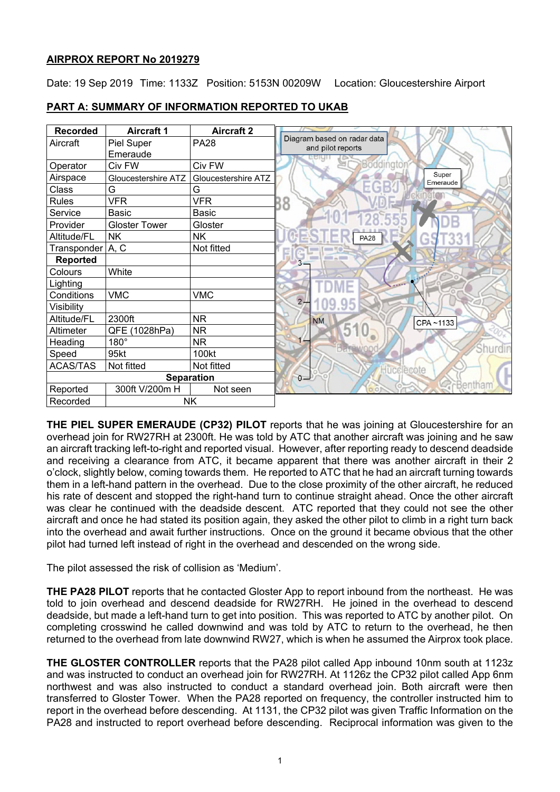# **AIRPROX REPORT No 2019279**

Date: 19 Sep 2019 Time: 1133Z Position: 5153N 00209W Location: Gloucestershire Airport

| <b>Recorded</b>       | <b>Aircraft 1</b>    | <b>Aircraft 2</b>   |                                                  |
|-----------------------|----------------------|---------------------|--------------------------------------------------|
| Aircraft              | Piel Super           | <b>PA28</b>         | Diagram based on radar data<br>and pilot reports |
|                       | Emeraude             |                     |                                                  |
| Operator              | Civ FW               | Civ FW              | Boddington                                       |
| Airspace              | Gloucestershire ATZ  | Gloucestershire ATZ | Super<br>Emeraude                                |
| Class                 | G                    | G                   | ÷                                                |
| <b>Rules</b>          | <b>VFR</b>           | <b>VFR</b>          | 38                                               |
| Service               | <b>Basic</b>         | Basic               |                                                  |
| Provider              | <b>Gloster Tower</b> | Gloster             |                                                  |
| Altitude/FL           | <b>NK</b>            | <b>NK</b>           | <b>PA28</b>                                      |
| Transponder A, C      |                      | Not fitted          |                                                  |
| <b>Reported</b>       |                      |                     |                                                  |
| Colours               | White                |                     |                                                  |
| Lighting              |                      |                     |                                                  |
| Conditions            | <b>VMC</b>           | <b>VMC</b>          | 2 <sub>r</sub>                                   |
| Visibility            |                      |                     |                                                  |
| Altitude/FL           | 2300ft               | <b>NR</b>           | <b>NM</b><br>CPA~1133                            |
| Altimeter             | QFE (1028hPa)        | <b>NR</b>           |                                                  |
| Heading               | $180^\circ$          | NR.                 |                                                  |
| Speed                 | 95kt                 | 100kt               |                                                  |
| <b>ACAS/TAS</b>       | Not fitted           | Not fitted          | Hucclecote                                       |
| <b>Separation</b>     |                      |                     | $0 -$                                            |
| Reported              | 300ft V/200m H       | Not seen            | Bentham                                          |
| Recorded<br><b>NK</b> |                      |                     |                                                  |

# **PART A: SUMMARY OF INFORMATION REPORTED TO UKAB**

**THE PIEL SUPER EMERAUDE (CP32) PILOT** reports that he was joining at Gloucestershire for an overhead join for RW27RH at 2300ft. He was told by ATC that another aircraft was joining and he saw an aircraft tracking left-to-right and reported visual. However, after reporting ready to descend deadside and receiving a clearance from ATC, it became apparent that there was another aircraft in their 2 o'clock, slightly below, coming towards them. He reported to ATC that he had an aircraft turning towards them in a left-hand pattern in the overhead. Due to the close proximity of the other aircraft, he reduced his rate of descent and stopped the right-hand turn to continue straight ahead. Once the other aircraft was clear he continued with the deadside descent. ATC reported that they could not see the other aircraft and once he had stated its position again, they asked the other pilot to climb in a right turn back into the overhead and await further instructions. Once on the ground it became obvious that the other pilot had turned left instead of right in the overhead and descended on the wrong side.

The pilot assessed the risk of collision as 'Medium'.

**THE PA28 PILOT** reports that he contacted Gloster App to report inbound from the northeast. He was told to join overhead and descend deadside for RW27RH. He joined in the overhead to descend deadside, but made a left-hand turn to get into position. This was reported to ATC by another pilot. On completing crosswind he called downwind and was told by ATC to return to the overhead, he then returned to the overhead from late downwind RW27, which is when he assumed the Airprox took place.

**THE GLOSTER CONTROLLER** reports that the PA28 pilot called App inbound 10nm south at 1123z and was instructed to conduct an overhead join for RW27RH. At 1126z the CP32 pilot called App 6nm northwest and was also instructed to conduct a standard overhead join. Both aircraft were then transferred to Gloster Tower. When the PA28 reported on frequency, the controller instructed him to report in the overhead before descending. At 1131, the CP32 pilot was given Traffic Information on the PA28 and instructed to report overhead before descending. Reciprocal information was given to the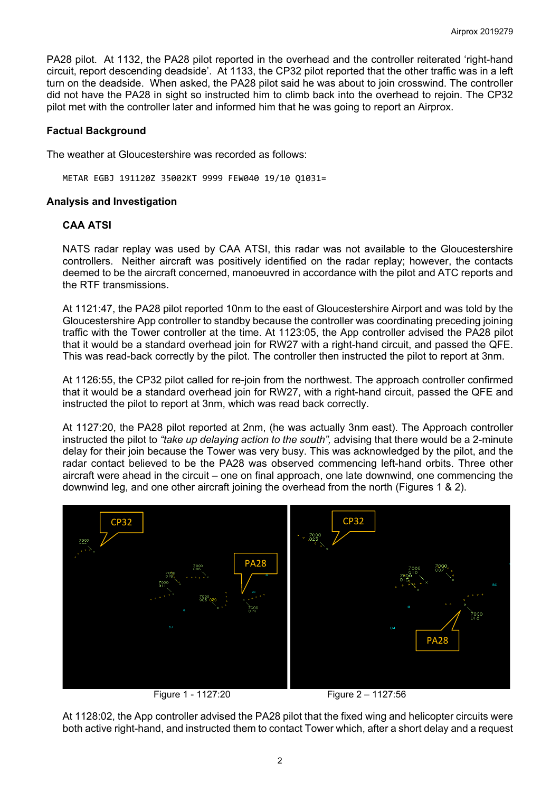PA28 pilot. At 1132, the PA28 pilot reported in the overhead and the controller reiterated 'right-hand circuit, report descending deadside'. At 1133, the CP32 pilot reported that the other traffic was in a left turn on the deadside. When asked, the PA28 pilot said he was about to join crosswind. The controller did not have the PA28 in sight so instructed him to climb back into the overhead to rejoin. The CP32 pilot met with the controller later and informed him that he was going to report an Airprox.

# **Factual Background**

The weather at Gloucestershire was recorded as follows:

METAR EGBJ 191120Z 35002KT 9999 FEW040 19/10 Q1031=

## **Analysis and Investigation**

# **CAA ATSI**

NATS radar replay was used by CAA ATSI, this radar was not available to the Gloucestershire controllers. Neither aircraft was positively identified on the radar replay; however, the contacts deemed to be the aircraft concerned, manoeuvred in accordance with the pilot and ATC reports and the RTF transmissions.

At 1121:47, the PA28 pilot reported 10nm to the east of Gloucestershire Airport and was told by the Gloucestershire App controller to standby because the controller was coordinating preceding joining traffic with the Tower controller at the time. At 1123:05, the App controller advised the PA28 pilot that it would be a standard overhead join for RW27 with a right-hand circuit, and passed the QFE. This was read-back correctly by the pilot. The controller then instructed the pilot to report at 3nm.

At 1126:55, the CP32 pilot called for re-join from the northwest. The approach controller confirmed that it would be a standard overhead join for RW27, with a right-hand circuit, passed the QFE and instructed the pilot to report at 3nm, which was read back correctly.

At 1127:20, the PA28 pilot reported at 2nm, (he was actually 3nm east). The Approach controller instructed the pilot to *"take up delaying action to the south",* advising that there would be a 2-minute delay for their join because the Tower was very busy. This was acknowledged by the pilot, and the radar contact believed to be the PA28 was observed commencing left-hand orbits. Three other aircraft were ahead in the circuit – one on final approach, one late downwind, one commencing the downwind leg, and one other aircraft joining the overhead from the north (Figures 1 & 2).



Figure 1 - 1127:20 Figure 2 – 1127:56

At 1128:02, the App controller advised the PA28 pilot that the fixed wing and helicopter circuits were both active right-hand, and instructed them to contact Tower which, after a short delay and a request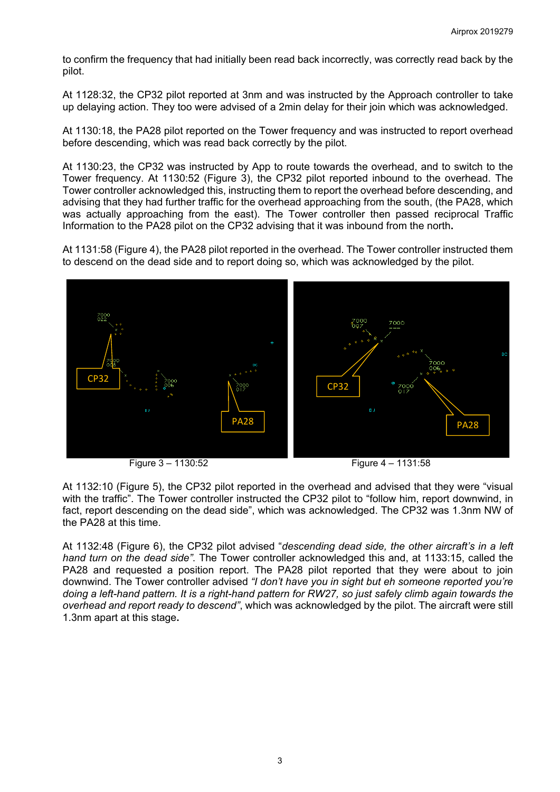to confirm the frequency that had initially been read back incorrectly, was correctly read back by the pilot.

At 1128:32, the CP32 pilot reported at 3nm and was instructed by the Approach controller to take up delaying action. They too were advised of a 2min delay for their join which was acknowledged.

At 1130:18, the PA28 pilot reported on the Tower frequency and was instructed to report overhead before descending, which was read back correctly by the pilot.

At 1130:23, the CP32 was instructed by App to route towards the overhead, and to switch to the Tower frequency. At 1130:52 (Figure 3), the CP32 pilot reported inbound to the overhead. The Tower controller acknowledged this, instructing them to report the overhead before descending, and advising that they had further traffic for the overhead approaching from the south, (the PA28, which was actually approaching from the east). The Tower controller then passed reciprocal Traffic Information to the PA28 pilot on the CP32 advising that it was inbound from the north**.**

At 1131:58 (Figure 4), the PA28 pilot reported in the overhead. The Tower controller instructed them to descend on the dead side and to report doing so, which was acknowledged by the pilot.



Figure 3 – 1130:52 Figure 4 – 1131:58

At 1132:10 (Figure 5), the CP32 pilot reported in the overhead and advised that they were "visual with the traffic". The Tower controller instructed the CP32 pilot to "follow him, report downwind, in fact, report descending on the dead side", which was acknowledged. The CP32 was 1.3nm NW of the PA28 at this time.

At 1132:48 (Figure 6), the CP32 pilot advised "*descending dead side, the other aircraft's in a left hand turn on the dead side"*. The Tower controller acknowledged this and, at 1133:15, called the PA28 and requested a position report. The PA28 pilot reported that they were about to join downwind. The Tower controller advised *"I don't have you in sight but eh someone reported you're doing a left-hand pattern. It is a right-hand pattern for RW27, so just safely climb again towards the overhead and report ready to descend"*, which was acknowledged by the pilot. The aircraft were still 1.3nm apart at this stage**.**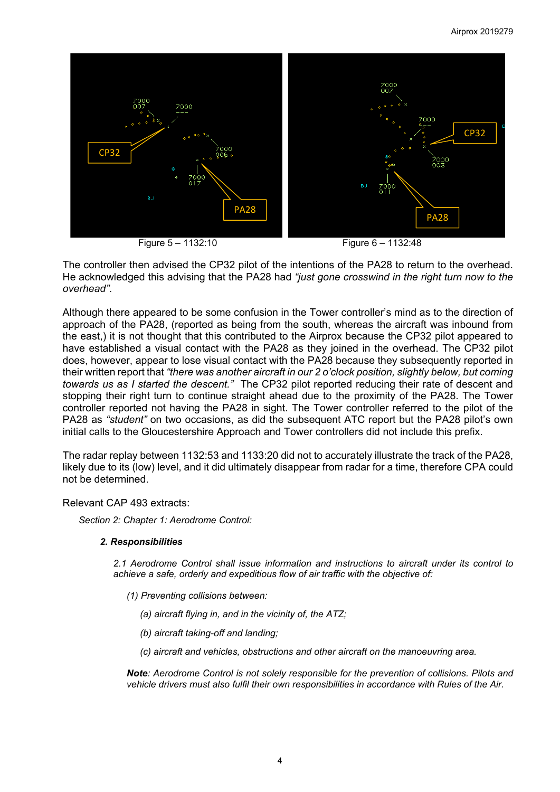

The controller then advised the CP32 pilot of the intentions of the PA28 to return to the overhead. He acknowledged this advising that the PA28 had *"just gone crosswind in the right turn now to the overhead"*.

Although there appeared to be some confusion in the Tower controller's mind as to the direction of approach of the PA28, (reported as being from the south, whereas the aircraft was inbound from the east,) it is not thought that this contributed to the Airprox because the CP32 pilot appeared to have established a visual contact with the PA28 as they joined in the overhead. The CP32 pilot does, however, appear to lose visual contact with the PA28 because they subsequently reported in their written report that *"there was another aircraft in our 2 o'clock position, slightly below, but coming towards us as I started the descent."* The CP32 pilot reported reducing their rate of descent and stopping their right turn to continue straight ahead due to the proximity of the PA28. The Tower controller reported not having the PA28 in sight. The Tower controller referred to the pilot of the PA28 as *"student"* on two occasions, as did the subsequent ATC report but the PA28 pilot's own initial calls to the Gloucestershire Approach and Tower controllers did not include this prefix.

The radar replay between 1132:53 and 1133:20 did not to accurately illustrate the track of the PA28, likely due to its (low) level, and it did ultimately disappear from radar for a time, therefore CPA could not be determined.

## Relevant CAP 493 extracts:

*Section 2: Chapter 1: Aerodrome Control:*

## *2. Responsibilities*

*2.1 Aerodrome Control shall issue information and instructions to aircraft under its control to achieve a safe, orderly and expeditious flow of air traffic with the objective of:* 

- *(1) Preventing collisions between:* 
	- *(a) aircraft flying in, and in the vicinity of, the ATZ;*
	- *(b) aircraft taking-off and landing;*
	- *(c) aircraft and vehicles, obstructions and other aircraft on the manoeuvring area.*

*Note: Aerodrome Control is not solely responsible for the prevention of collisions. Pilots and vehicle drivers must also fulfil their own responsibilities in accordance with Rules of the Air.*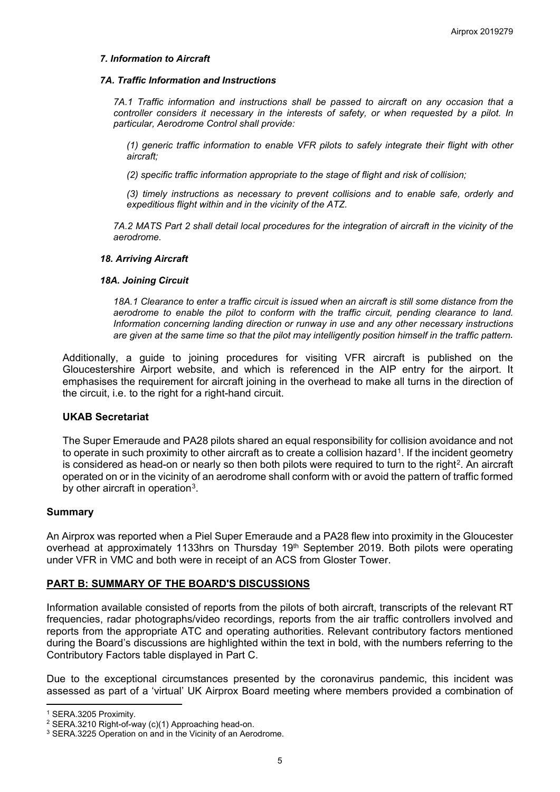### *7. Information to Aircraft*

#### *7A. Traffic Information and Instructions*

*7A.1 Traffic information and instructions shall be passed to aircraft on any occasion that a controller considers it necessary in the interests of safety, or when requested by a pilot. In particular, Aerodrome Control shall provide:* 

*(1) generic traffic information to enable VFR pilots to safely integrate their flight with other aircraft;* 

*(2) specific traffic information appropriate to the stage of flight and risk of collision;* 

*(3) timely instructions as necessary to prevent collisions and to enable safe, orderly and expeditious flight within and in the vicinity of the ATZ.* 

*7A.2 MATS Part 2 shall detail local procedures for the integration of aircraft in the vicinity of the aerodrome.* 

#### *18. Arriving Aircraft*

#### *18A. Joining Circuit*

*18A.1 Clearance to enter a traffic circuit is issued when an aircraft is still some distance from the*  aerodrome to enable the pilot to conform with the traffic circuit, pending clearance to land. *Information concerning landing direction or runway in use and any other necessary instructions are given at the same time so that the pilot may intelligently position himself in the traffic pattern.* 

Additionally, a guide to joining procedures for visiting VFR aircraft is published on the Gloucestershire Airport website, and which is referenced in the AIP entry for the airport. It emphasises the requirement for aircraft joining in the overhead to make all turns in the direction of the circuit, i.e. to the right for a right-hand circuit.

### **UKAB Secretariat**

The Super Emeraude and PA28 pilots shared an equal responsibility for collision avoidance and not to operate in such proximity to other aircraft as to create a collision hazard<sup>1</sup>. If the incident geometry is considered as head-on or nearly so then both pilots were required to turn to the right<sup>2</sup>. An aircraft operated on or in the vicinity of an aerodrome shall conform with or avoid the pattern of traffic formed by other aircraft in operation<sup>3</sup>.

### **Summary**

An Airprox was reported when a Piel Super Emeraude and a PA28 flew into proximity in the Gloucester overhead at approximately 1133hrs on Thursday 19<sup>th</sup> September 2019. Both pilots were operating under VFR in VMC and both were in receipt of an ACS from Gloster Tower.

## **PART B: SUMMARY OF THE BOARD'S DISCUSSIONS**

Information available consisted of reports from the pilots of both aircraft, transcripts of the relevant RT frequencies, radar photographs/video recordings, reports from the air traffic controllers involved and reports from the appropriate ATC and operating authorities. Relevant contributory factors mentioned during the Board's discussions are highlighted within the text in bold, with the numbers referring to the Contributory Factors table displayed in Part C.

Due to the exceptional circumstances presented by the coronavirus pandemic, this incident was assessed as part of a 'virtual' UK Airprox Board meeting where members provided a combination of

l

<span id="page-4-0"></span><sup>1</sup> SERA.3205 Proximity.

<span id="page-4-1"></span><sup>2</sup> SERA.3210 Right-of-way (c)(1) Approaching head-on.

<span id="page-4-2"></span><sup>&</sup>lt;sup>3</sup> SERA.3225 Operation on and in the Vicinity of an Aerodrome.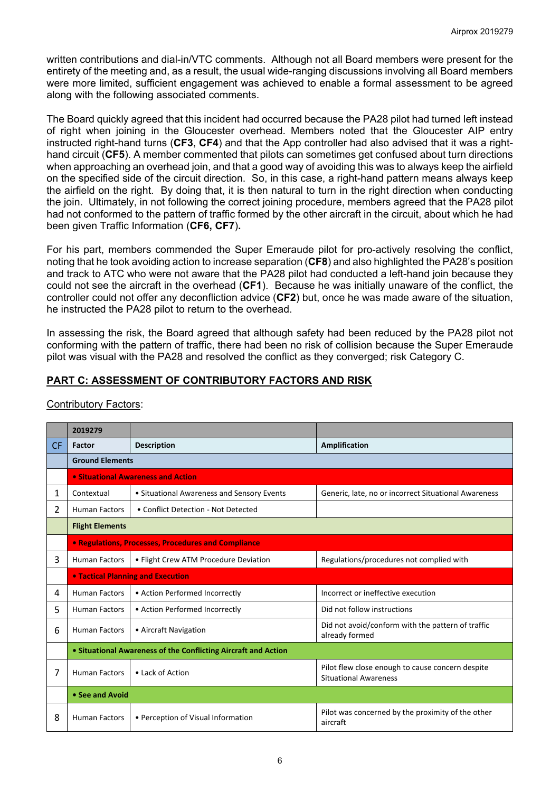written contributions and dial-in/VTC comments. Although not all Board members were present for the entirety of the meeting and, as a result, the usual wide-ranging discussions involving all Board members were more limited, sufficient engagement was achieved to enable a formal assessment to be agreed along with the following associated comments.

The Board quickly agreed that this incident had occurred because the PA28 pilot had turned left instead of right when joining in the Gloucester overhead. Members noted that the Gloucester AIP entry instructed right-hand turns (**CF3**, **CF4**) and that the App controller had also advised that it was a righthand circuit (**CF5**). A member commented that pilots can sometimes get confused about turn directions when approaching an overhead join, and that a good way of avoiding this was to always keep the airfield on the specified side of the circuit direction. So, in this case, a right-hand pattern means always keep the airfield on the right. By doing that, it is then natural to turn in the right direction when conducting the join. Ultimately, in not following the correct joining procedure, members agreed that the PA28 pilot had not conformed to the pattern of traffic formed by the other aircraft in the circuit, about which he had been given Traffic Information (**CF6, CF7**)**.** 

For his part, members commended the Super Emeraude pilot for pro-actively resolving the conflict, noting that he took avoiding action to increase separation (**CF8**) and also highlighted the PA28's position and track to ATC who were not aware that the PA28 pilot had conducted a left-hand join because they could not see the aircraft in the overhead (**CF1**). Because he was initially unaware of the conflict, the controller could not offer any deconfliction advice (**CF2**) but, once he was made aware of the situation, he instructed the PA28 pilot to return to the overhead.

In assessing the risk, the Board agreed that although safety had been reduced by the PA28 pilot not conforming with the pattern of traffic, there had been no risk of collision because the Super Emeraude pilot was visual with the PA28 and resolved the conflict as they converged; risk Category C.

# **PART C: ASSESSMENT OF CONTRIBUTORY FACTORS AND RISK**

|           | 2019279                                                        |                                            |                                                                                  |  |  |  |  |  |  |
|-----------|----------------------------------------------------------------|--------------------------------------------|----------------------------------------------------------------------------------|--|--|--|--|--|--|
| <b>CF</b> | Factor                                                         | <b>Description</b>                         | Amplification                                                                    |  |  |  |  |  |  |
|           | <b>Ground Elements</b>                                         |                                            |                                                                                  |  |  |  |  |  |  |
|           | • Situational Awareness and Action                             |                                            |                                                                                  |  |  |  |  |  |  |
| 1         | Contextual                                                     | • Situational Awareness and Sensory Events | Generic, late, no or incorrect Situational Awareness                             |  |  |  |  |  |  |
| 2         | <b>Human Factors</b>                                           | • Conflict Detection - Not Detected        |                                                                                  |  |  |  |  |  |  |
|           | <b>Flight Elements</b>                                         |                                            |                                                                                  |  |  |  |  |  |  |
|           | <b>• Regulations, Processes, Procedures and Compliance</b>     |                                            |                                                                                  |  |  |  |  |  |  |
| 3         | <b>Human Factors</b>                                           | • Flight Crew ATM Procedure Deviation      | Regulations/procedures not complied with                                         |  |  |  |  |  |  |
|           |                                                                | <b>• Tactical Planning and Execution</b>   |                                                                                  |  |  |  |  |  |  |
| 4         | <b>Human Factors</b>                                           | • Action Performed Incorrectly             | Incorrect or ineffective execution                                               |  |  |  |  |  |  |
| 5.        | <b>Human Factors</b>                                           | • Action Performed Incorrectly             | Did not follow instructions                                                      |  |  |  |  |  |  |
| 6         | <b>Human Factors</b><br>• Aircraft Navigation                  |                                            | Did not avoid/conform with the pattern of traffic<br>already formed              |  |  |  |  |  |  |
|           | • Situational Awareness of the Conflicting Aircraft and Action |                                            |                                                                                  |  |  |  |  |  |  |
| 7         | <b>Human Factors</b>                                           | • Lack of Action                           | Pilot flew close enough to cause concern despite<br><b>Situational Awareness</b> |  |  |  |  |  |  |
|           | • See and Avoid                                                |                                            |                                                                                  |  |  |  |  |  |  |
| 8         | <b>Human Factors</b>                                           | • Perception of Visual Information         | Pilot was concerned by the proximity of the other<br>aircraft                    |  |  |  |  |  |  |

## Contributory Factors: